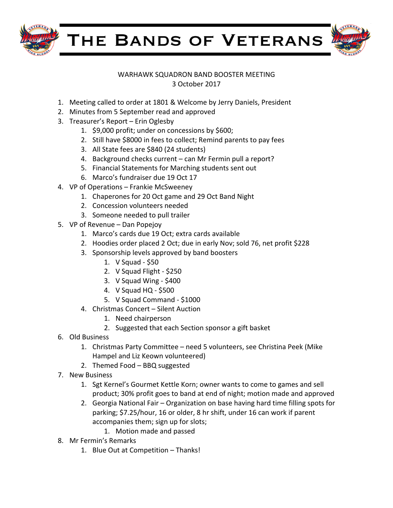

THE BANDS OF VETERANS



## WARHAWK SQUADRON BAND BOOSTER MEETING 3 October 2017

- 1. Meeting called to order at 1801 & Welcome by Jerry Daniels, President
- 2. Minutes from 5 September read and approved
- 3. Treasurer's Report Erin Oglesby
	- 1.  $$9,000$  profit; under on concessions by \$600;
	- 2. Still have \$8000 in fees to collect; Remind parents to pay fees
	- 3. All State fees are \$840 (24 students)
	- 4. Background checks current can Mr Fermin pull a report?
	- 5. Financial Statements for Marching students sent out
	- 6. Marco's fundraiser due 19 Oct 17
- 4. VP of Operations Frankie McSweeney
	- 1. Chaperones for 20 Oct game and 29 Oct Band Night
	- 2. Concession volunteers needed
	- 3. Someone needed to pull trailer
- 5. VP of Revenue Dan Popejoy
	- 1. Marco's cards due 19 Oct; extra cards available
	- 2. Hoodies order placed 2 Oct; due in early Nov; sold 76, net profit \$228
	- 3. Sponsorship levels approved by band boosters
		- 1.  $V$  Squad \$50
		- 2. V Squad Flight \$250
		- 3. V Squad Wing \$400
		- 4. V Squad HQ - \$500
		- 5. V Squad Command \$1000
	- 4. Christmas Concert Silent Auction
		- 1. Need chairperson
		- 2. Suggested that each Section sponsor a gift basket
- 6. Old Business
	- 1. Christmas Party Committee need 5 volunteers, see Christina Peek (Mike Hampel and Liz Keown volunteered)
	- 2. Themed Food BBQ suggested
- 7. New Business
	- 1. Sgt Kernel's Gourmet Kettle Korn; owner wants to come to games and sell product; 30% profit goes to band at end of night; motion made and approved
	- 2. Georgia National Fair Organization on base having hard time filling spots for parking; \$7.25/hour, 16 or older, 8 hr shift, under 16 can work if parent accompanies them; sign up for slots;
		- 1. Motion made and passed
- 8. Mr Fermin's Remarks
	- 1. Blue Out at Competition Thanks!